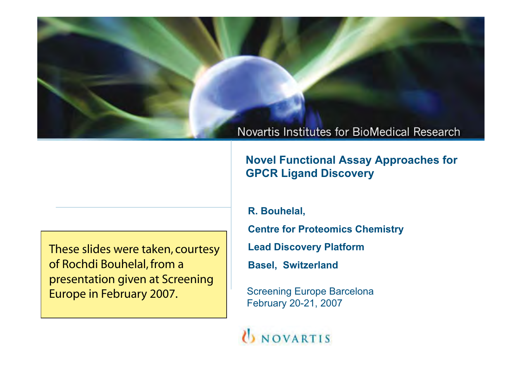**Novel Functional Assay Approaches for GPCR Ligand Discovery**

These slides were taken, courtesy of Rochdi Bouhelal, from a presentation given at Screening Europe in February 2007.

**R. Bouhelal,** 

**Centre for Proteomics Chemistry**

**Lead Discovery Platform**

**Basel, Switzerland**

Screening Europe Barcelona February 20-21, 2007

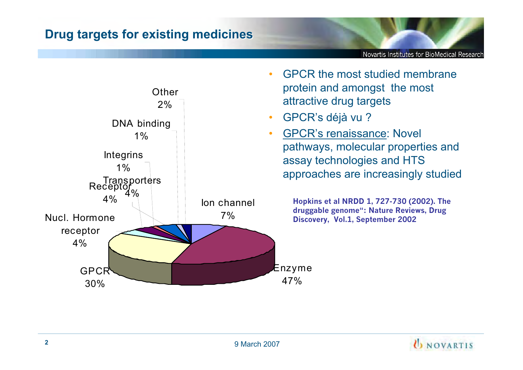

• GPCR the most studied membrane protein and amongst the most attractive drug targets

Novartis Institutes for BioMedical Research

- GPCR's déjà vu ?
- GPCR's renaissance: Novel pathways, molecular properties and assay technologies and HTS approaches are increasingly studied

**Hopkins et al NRDD 1, 727-730 (2002). The druggable genome": Nature Reviews, Drug Discovery, Vol.1, September 2002**

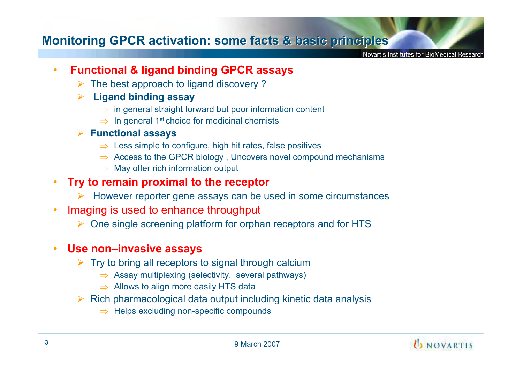## **Monitoring GPCR activation: some facts & basic principles**

Novartis Institutes for BioMedical Researcl

- • **Functional & ligand binding GPCR assays**
	- $\triangleright$  The best approach to ligand discovery ?
	- ¾ **Ligand binding assay**
		- $\Rightarrow$  in general straight forward but poor information content
		- $\Rightarrow$  In general 1st choice for medicinal chemists
	- ¾ **Functional assays**
		- $\Rightarrow\,$  Less simple to configure, high hit rates, false positives
		- $\Rightarrow$  Access to the GPCR biology , Uncovers novel compound mechanisms
		- $\Rightarrow$  May offer rich information output
- • **Try to remain proximal to the receptor**
	- ¾ However reporter gene assays can be used in some circumstances
- • Imaging is used to enhance throughput
	- ¾ One single screening platform for orphan receptors and for HTS

#### •**Use non–invasive assays**

- $\triangleright$  Try to bring all receptors to signal through calcium
	- $\Rightarrow$  Assay multiplexing (selectivity, several pathways)
	- $\Rightarrow$  Allows to align more easily HTS data
- $\triangleright$  Rich pharmacological data output including kinetic data analysis
	- $\Rightarrow$  Helps excluding non-specific compounds

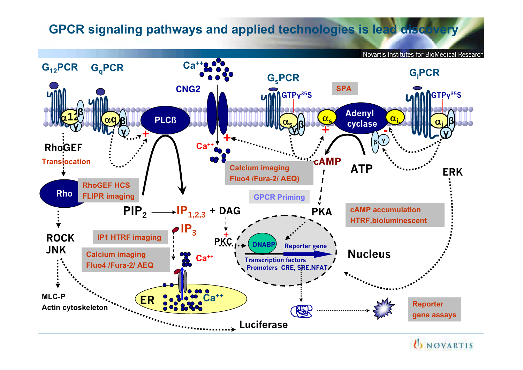# **GPCR signaling pathways and applied technologies is lead discovery**

Novartis Institutes for BioMedical Research **G12PCR GqPCR Ca++ GiPCR** G<sub>s</sub>PCR **SPACNG2**  $\overline{M}$ **GTP** $V^{35}$ **S DODA**  $\frac{1}{2}$ **Adenyl** D**12PLCß**  $\alpha_{\sf s}$  $\frac{\alpha_i}{\beta}$  $\frac{1}{2}$  $\alpha_{\mathsf{s}}$ . **Ex** cyclase  $\sum$  Cyclase  $\alpha$  **ȕ +Ȗ Ȗ+-Ȗ +ȕ <sup>Ȗ</sup> Ca++ RhoGEF cAMP Translocation Calcium imaging ATPERKFluo4 /Fura-2/ AEQ) RhoGEF HCSRhoFLIPR imaging GPCR Priming cAMP accumulationPIP2 IP1,2,3 + DAG PKA HTRF,bioluminescent**  $IP_3$ **IP1 HTRF imaging + ROCK PKC DNABP Reporter gene JNKCalcium imaging Nucleus Ca++ Transcription factors Fluo4 /Fura-2/ AEQ Promoters CRE, SRE, NFAT/ MLC-PCa++ ERReporter Actin cytoskeleton**  $\mathbb{R}^2$ **gene assays Luciferase**

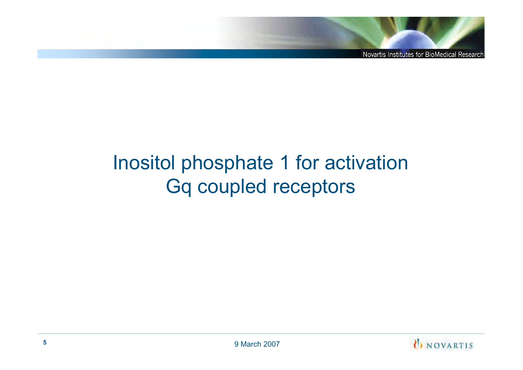# Inositol phosphate 1 for activation Gq coupled receptors

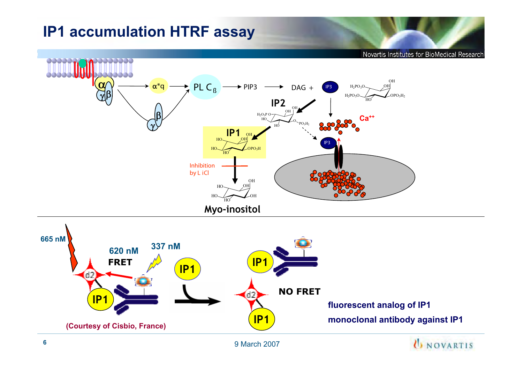# **IP1 accumulation HTRF assay**

**DOUUUT** 

Novartis Institutes for BioMedical Research OH $H_2PO_3O$ **IP3**



9 March 2007

000000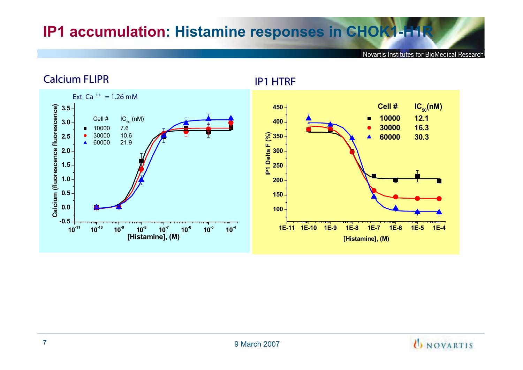# **IP1 accumulation: Histamine responses in CHOK1-H1R**

Novartis Institutes for BioMedical Research



#### **Calcium FLIPR Calcium FLIPR**

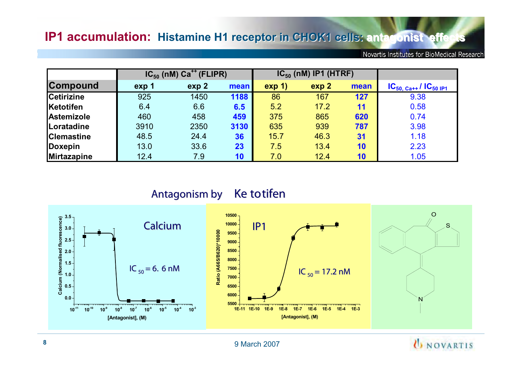|                    | $IC_{50}$ (nM) $Ca^{++}$ (FLIPR) |                  |      | $IC_{50}$ (nM) IP1 (HTRF) |       |      |                              |
|--------------------|----------------------------------|------------------|------|---------------------------|-------|------|------------------------------|
| <b>Compound</b>    | exp 1                            | exp <sub>2</sub> | mean | exp(1)                    | exp 2 | mean | $IC_{50, Ca++}/IC_{50, IP1}$ |
| <b>Cetirizine</b>  | 925                              | 1450             | 1188 | 86                        | 167   | 127  | 9.38                         |
| Ketotifen          | 6.4                              | 6.6              | 6.5  | 5.2                       | 17.2  | 11   | 0.58                         |
| Astemizole         | 460                              | 458              | 459  | 375                       | 865   | 620  | 0.74                         |
| Loratadine         | 3910                             | 2350             | 3130 | 635                       | 939   | 787  | 3.98                         |
| <b>Clemastine</b>  | 48.5                             | 24.4             | 36   | 15.7                      | 46.3  | 31   | 1.18                         |
| Doxepin            | 13.0                             | 33.6             | 23   | 7.5                       | 13.4  | 10   | 2.23                         |
| <b>Mirtazapine</b> | 12.4                             | 7.9              | 10   | 7.0                       | 12.4  | 10   | 1.05                         |

**Antagonism by Antagonism by Ke totifen Ke totifen**







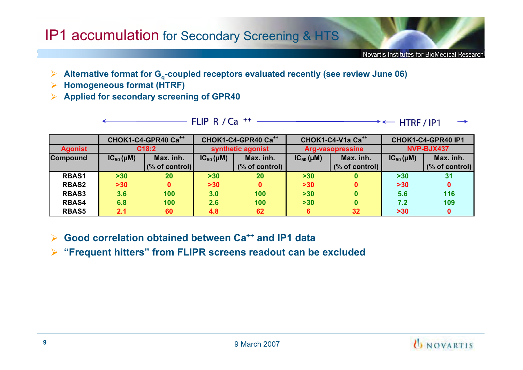# IP1 accumulation for Secondary Screening & HTS

Novartis Institutes for BioMedical Research

- Alternative format for  $G_q$ -coupled receptors evaluated recently (see review June 06)
- **Homogeneous format (HTRF)**
- **▶ Applied for secondary screening of GPR40**

**FLIP R / Ca FLIPR / Ca ++ HTRF / IP1 HTRF / IP1**

|                 |                  | CHOK1-C4-GPR40 Ca <sup>++</sup> |                   | CHOK1-C4-GPR40 Ca <sup>++</sup> |                         | CHOK1-C4-V1a Ca <sup>++</sup> | CHOK1-C4-GPR40 IP1 |                 |
|-----------------|------------------|---------------------------------|-------------------|---------------------------------|-------------------------|-------------------------------|--------------------|-----------------|
| <b>Agonist</b>  | C18:2            |                                 | synthetic agonist |                                 | <b>Arg-vasopressine</b> |                               | NVP-BJX437         |                 |
| <b>Compound</b> | $IC_{50}(\mu M)$ | Max. inh.                       | $IC_{50}(\mu M)$  | Max. inh.                       |                         | Max. inh.                     | $IC_{50}(\mu M)$   | Max. inh.       |
|                 |                  | $\frac{1}{2}$ (% of control)    |                   | $%$ of control)                 |                         | (% of control)                |                    | $%$ of control) |
| <b>RBAS1</b>    | $>30$            | 20                              | $>30$             | 20                              | >30                     | $\bf{0}$                      | $>30$              | 31              |
| <b>RBAS2</b>    | $>30$            |                                 | >30               |                                 | >30                     | 0                             | >30                | 0               |
| <b>RBAS3</b>    | 3.6              | 100                             | 3.0               | 100                             | $>30$                   | 0                             | 5.6                | 116             |
| <b>RBAS4</b>    | 6.8              | 100                             | 2.6               | 100                             | >30                     | 0                             | 7.2                | 109             |
| <b>RBAS5</b>    | 2.1              | 60                              | 4.8               | 62                              |                         | 32 <sub>2</sub>               | $>30$              | 0               |

**► Good correlation obtained between Ca<sup>++</sup> and IP1 data** 

**"Frequent hitters" from FLIPR screens readout can be excluded**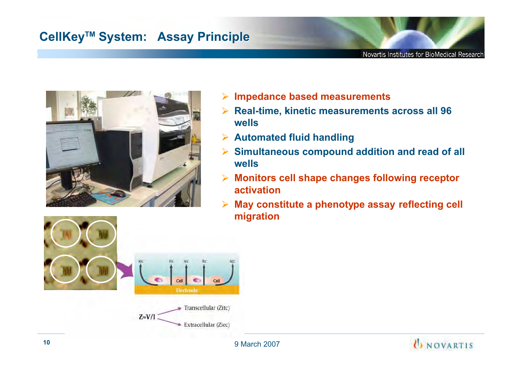# **CellKey CellKey TM System: Assay Principle TM System: Assay Principle**



- **Impedance based measurements**
- **Real-time, kinetic measurements across all 96**   $\blacktriangleright$ **wells**
- **Automated fluid handling**
- **Simultaneous compound addition and read of all**   $\blacktriangleright$ **wells**
- **Monitors cell shape changes following receptor activation**
- **May constitute a phenotype assay reflecting cell**   $\blacktriangleright$ **migration**



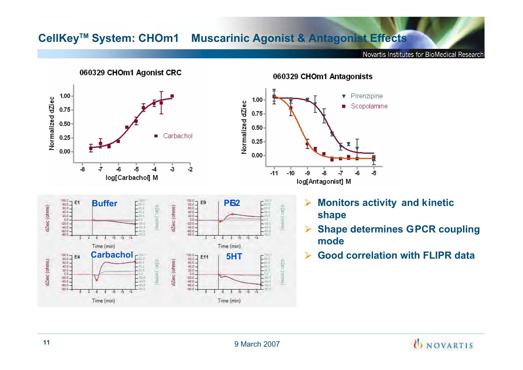### **CellKeyTM System: CHOm1 Muscarinic Agonist & Antagonist Effects**

Novartis Institutes for BioMedical Research



060329 CHOm1 Antagonists

- **Monitors activity and kinetic<br>
shape<br>
Shape determines GPCR could** 
	- **Shape determines GPCR coupling**
	- **Good correlation with FLIPR data**

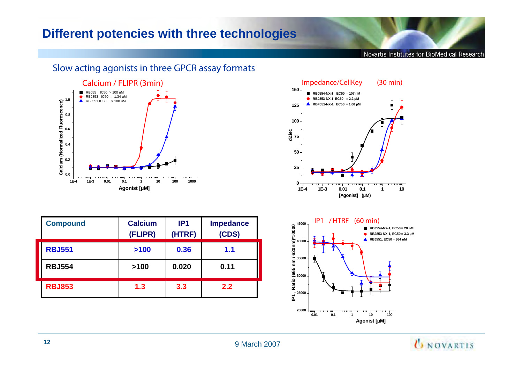## **Different potencies with three technologies**

Novartis Institutes for BioMedical Research



| <b>FLIPR (3min)</b>             | Impedance/CellKey<br>$(30 \text{ min})$                                                                    |
|---------------------------------|------------------------------------------------------------------------------------------------------------|
| иM<br>4 uM<br>Mu (              | 150 $-$<br>RBJ554-NX-1 EC50 = 107 nM<br>RBJ853-NX-1 EC50 = 2.2 µM<br>RBF551-NX-1 EC50 = 1.06 µM<br>$125 -$ |
|                                 | $100 -$                                                                                                    |
|                                 | dZiec<br>$75 -$                                                                                            |
|                                 | $50 -$                                                                                                     |
|                                 | $25 -$                                                                                                     |
| ᅟ᠇ᡴ<br>0.1<br>100<br>1000<br>10 | $\mathbf{0}$                                                                                               |
| Agonist [µM]                    | $1E-4$<br>$1E-3$<br>0.01<br>0.1<br>10<br>[Agonist] (µM)                                                    |

| <b>Compound</b>    | <b>Calcium</b><br>(FLIPR) | IP <sub>1</sub><br>(HTRF) | <b>Impedance</b><br>(CDS) | $(60 \text{ min})$<br>IP1 / HTRF<br>$\frac{8}{9}$ $\frac{45000}{9}$ -<br>RBJ55<br>RBJ85<br>RBJ55<br>$\widehat{=} 40000 -$ |
|--------------------|---------------------------|---------------------------|---------------------------|---------------------------------------------------------------------------------------------------------------------------|
| <b>RBJ551</b>      | $>100$                    | 0.36                      | 1.1                       | 620<br>$-35000 -$                                                                                                         |
| I<br><b>RBJ554</b> | >100                      | 0.020                     | 0.11                      | မ္မွ<br>© <sub>30000 ⊣</sub>                                                                                              |
| <b>RBJ853</b>      | 1.3                       | 3.3                       | 2.2                       | Ratio<br>$-25000 -$                                                                                                       |